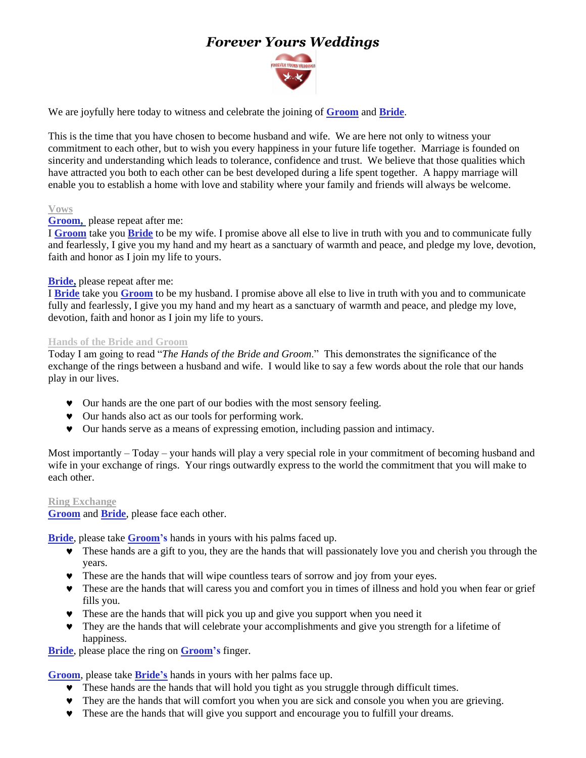# *Forever Yours Weddings*



We are joyfully here today to witness and celebrate the joining of **Groom** and **Bride**.

This is the time that you have chosen to become husband and wife. We are here not only to witness your commitment to each other, but to wish you every happiness in your future life together. Marriage is founded on sincerity and understanding which leads to tolerance, confidence and trust. We believe that those qualities which have attracted you both to each other can be best developed during a life spent together. A happy marriage will enable you to establish a home with love and stability where your family and friends will always be welcome.

#### **Vows**

## **Groom,** please repeat after me:

I **Groom** take you **Bride** to be my wife. I promise above all else to live in truth with you and to communicate fully and fearlessly, I give you my hand and my heart as a sanctuary of warmth and peace, and pledge my love, devotion, faith and honor as I join my life to yours.

## **Bride,** please repeat after me:

I **Bride** take you **Groom** to be my husband. I promise above all else to live in truth with you and to communicate fully and fearlessly, I give you my hand and my heart as a sanctuary of warmth and peace, and pledge my love, devotion, faith and honor as I join my life to yours.

## **Hands of the Bride and Groom**

Today I am going to read "*The Hands of the Bride and Groom*." This demonstrates the significance of the exchange of the rings between a husband and wife. I would like to say a few words about the role that our hands play in our lives.

- Our hands are the one part of our bodies with the most sensory feeling.
- Our hands also act as our tools for performing work.
- Our hands serve as a means of expressing emotion, including passion and intimacy.

Most importantly – Today – your hands will play a very special role in your commitment of becoming husband and wife in your exchange of rings. Your rings outwardly express to the world the commitment that you will make to each other.

#### **Ring Exchange**

**Groom** and **Bride**, please face each other.

**Bride**, please take **Groom's** hands in yours with his palms faced up.

- These hands are a gift to you, they are the hands that will passionately love you and cherish you through the years.
- These are the hands that will wipe countless tears of sorrow and joy from your eyes.
- These are the hands that will caress you and comfort you in times of illness and hold you when fear or grief fills you.
- These are the hands that will pick you up and give you support when you need it
- They are the hands that will celebrate your accomplishments and give you strength for a lifetime of happiness.

**Bride**, please place the ring on **Groom's** finger.

**Groom**, please take **Bride's** hands in yours with her palms face up.

- These hands are the hands that will hold you tight as you struggle through difficult times.
- They are the hands that will comfort you when you are sick and console you when you are grieving.
- These are the hands that will give you support and encourage you to fulfill your dreams.